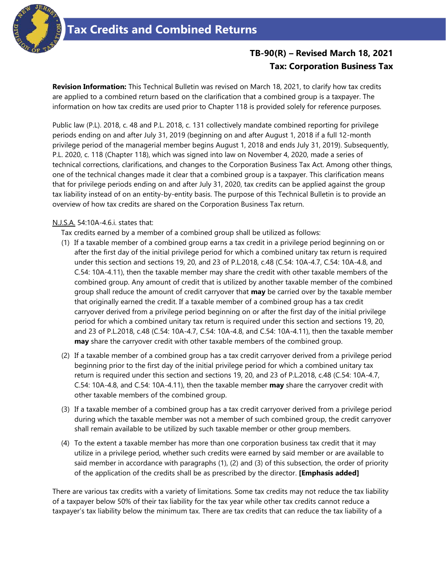

# **TB-90(R) – Revised March 18, 2021 Tax: Corporation Business Tax**

**Revision Information:** This Technical Bulletin was revised on March 18, 2021, to clarify how tax credits are applied to a combined return based on the clarification that a combined group is a taxpayer. The information on how tax credits are used prior to Chapter 118 is provided solely for reference purposes.

Public law (P.L). 2018, c. 48 and P.L. 2018, c. 131 collectively mandate combined reporting for privilege periods ending on and after July 31, 2019 (beginning on and after August 1, 2018 if a full 12-month privilege period of the managerial member begins August 1, 2018 and ends July 31, 2019). Subsequently, P.L. 2020, c. 118 (Chapter 118), which was signed into law on November 4, 2020, made a series of technical corrections, clarifications, and changes to the Corporation Business Tax Act. Among other things, one of the technical changes made it clear that a combined group is a taxpayer. This clarification means that for privilege periods ending on and after July 31, 2020, tax credits can be applied against the group tax liability instead of on an entity-by-entity basis. The purpose of this Technical Bulletin is to provide an overview of how tax credits are shared on the Corporation Business Tax return.

#### N.J.S.A. 54:10A-4.6.i. states that:

Tax credits earned by a member of a combined group shall be utilized as follows:

- (1) If a taxable member of a combined group earns a tax credit in a privilege period beginning on or after the first day of the initial privilege period for which a combined unitary tax return is required under this section and sections 19, 20, and 23 of P.L.2018, c.48 (C.54: 10A-4.7, C.54: 10A-4.8, and C.54: 10A-4.11), then the taxable member may share the credit with other taxable members of the combined group. Any amount of credit that is utilized by another taxable member of the combined group shall reduce the amount of credit carryover that **may** be carried over by the taxable member that originally earned the credit. If a taxable member of a combined group has a tax credit carryover derived from a privilege period beginning on or after the first day of the initial privilege period for which a combined unitary tax return is required under this section and sections 19, 20, and 23 of P.L.2018, c.48 (C.54: 10A-4.7, C.54: 10A-4.8, and C.54: 10A-4.11), then the taxable member **may** share the carryover credit with other taxable members of the combined group.
- (2) If a taxable member of a combined group has a tax credit carryover derived from a privilege period beginning prior to the first day of the initial privilege period for which a combined unitary tax return is required under this section and sections 19, 20, and 23 of P.L.2018, c.48 (C.54: 10A-4.7, C.54: 10A-4.8, and C.54: 10A-4.11), then the taxable member **may** share the carryover credit with other taxable members of the combined group.
- (3) If a taxable member of a combined group has a tax credit carryover derived from a privilege period during which the taxable member was not a member of such combined group, the credit carryover shall remain available to be utilized by such taxable member or other group members.
- (4) To the extent a taxable member has more than one corporation business tax credit that it may utilize in a privilege period, whether such credits were earned by said member or are available to said member in accordance with paragraphs (1), (2) and (3) of this subsection, the order of priority of the application of the credits shall be as prescribed by the director. **[Emphasis added]**

There are various tax credits with a variety of limitations. Some tax credits may not reduce the tax liability of a taxpayer below 50% of their tax liability for the tax year while other tax credits cannot reduce a taxpayer's tax liability below the minimum tax. There are tax credits that can reduce the tax liability of a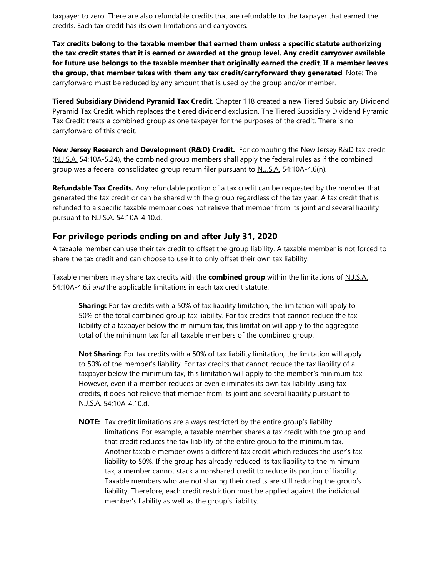taxpayer to zero. There are also refundable credits that are refundable to the taxpayer that earned the credits. Each tax credit has its own limitations and carryovers.

**Tax credits belong to the taxable member that earned them unless a specific statute authorizing the tax credit states that it is earned or awarded at the group level. Any credit carryover available for future use belongs to the taxable member that originally earned the credit**. **If a member leaves the group, that member takes with them any tax credit/carryforward they generated**. Note: The carryforward must be reduced by any amount that is used by the group and/or member.

**Tiered Subsidiary Dividend Pyramid Tax Credit**. Chapter 118 created a new Tiered Subsidiary Dividend Pyramid Tax Credit, which replaces the tiered dividend exclusion. The Tiered Subsidiary Dividend Pyramid Tax Credit treats a combined group as one taxpayer for the purposes of the credit. There is no carryforward of this credit.

**New Jersey Research and Development (R&D) Credit.** For computing the New Jersey R&D tax credit (N.J.S.A. 54:10A-5.24), the combined group members shall apply the federal rules as if the combined group was a federal consolidated group return filer pursuant to N.J.S.A. 54:10A-4.6(n).

**Refundable Tax Credits.** Any refundable portion of a tax credit can be requested by the member that generated the tax credit or can be shared with the group regardless of the tax year. A tax credit that is refunded to a specific taxable member does not relieve that member from its joint and several liability pursuant to N.J.S.A. 54:10A-4.10.d.

#### **For privilege periods ending on and after July 31, 2020**

A taxable member can use their tax credit to offset the group liability. A taxable member is not forced to share the tax credit and can choose to use it to only offset their own tax liability.

Taxable members may share tax credits with the **combined group** within the limitations of N.J.S.A. 54:10A-4.6.i and the applicable limitations in each tax credit statute.

**Sharing:** For tax credits with a 50% of tax liability limitation, the limitation will apply to 50% of the total combined group tax liability. For tax credits that cannot reduce the tax liability of a taxpayer below the minimum tax, this limitation will apply to the aggregate total of the minimum tax for all taxable members of the combined group.

**Not Sharing:** For tax credits with a 50% of tax liability limitation, the limitation will apply to 50% of the member's liability. For tax credits that cannot reduce the tax liability of a taxpayer below the minimum tax, this limitation will apply to the member's minimum tax. However, even if a member reduces or even eliminates its own tax liability using tax credits, it does not relieve that member from its joint and several liability pursuant to N.J.S.A. 54:10A-4.10.d.

**NOTE:** Tax credit limitations are always restricted by the entire group's liability limitations. For example, a taxable member shares a tax credit with the group and that credit reduces the tax liability of the entire group to the minimum tax. Another taxable member owns a different tax credit which reduces the user's tax liability to 50%. If the group has already reduced its tax liability to the minimum tax, a member cannot stack a nonshared credit to reduce its portion of liability. Taxable members who are not sharing their credits are still reducing the group's liability. Therefore, each credit restriction must be applied against the individual member's liability as well as the group's liability.